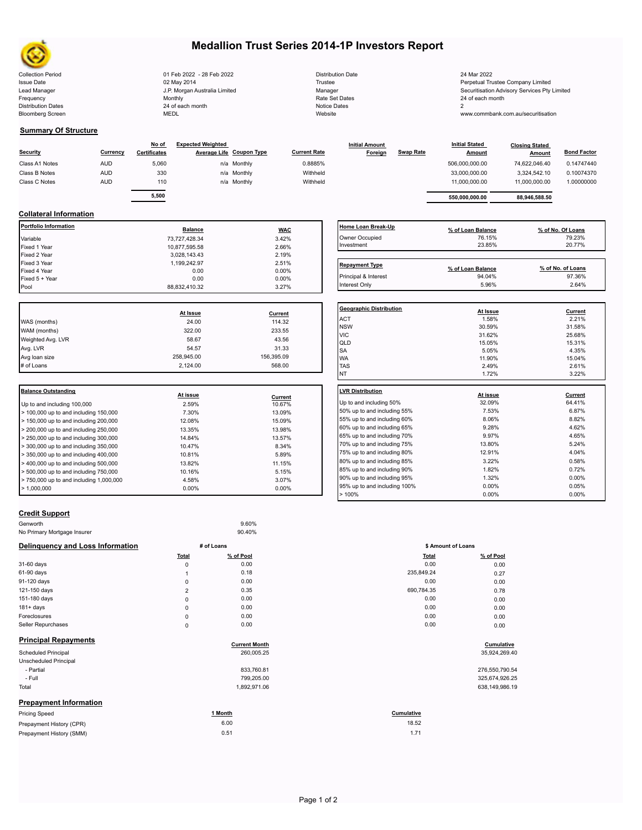

# **Medallion Trust Series 2014-1P Investors Report**

| 01 Feb 2022 - 28 Feb 2022     | <b>Distribution Date</b> | 24 Mar 2022                                |
|-------------------------------|--------------------------|--------------------------------------------|
| 02 May 2014                   | Trustee                  | Perpetual Trustee Company Limited          |
| J.P. Morgan Australia Limited | Manager                  | Securitisation Advisory Services Pty Limit |
| Monthly                       | Rate Set Dates           | 24 of each month                           |
| 24 of each month              | Notice Dates             |                                            |
| <b>MEDL</b>                   | Website                  | www.commbank.com.au/securitisation         |
|                               |                          |                                            |

|         | <b>Distribution Date</b> |
|---------|--------------------------|
| Trustee |                          |
| Manager |                          |
|         | Rate Set Dates           |
|         | Notice Dates             |
| Website |                          |
|         |                          |

#### **Summary Of Structure**

| Security       | Currency   | No of<br>Certificates | <b>Expected Weighted</b> | <b>Average Life Coupon Type</b> | <b>Current Rate</b> | <b>Initial Amount</b><br>Foreign | <b>Swap Rate</b> | <b>Initial Stated</b><br><b>Amount</b> | <b>Closing Stated</b><br>Amount | <b>Bond Factor</b> |
|----------------|------------|-----------------------|--------------------------|---------------------------------|---------------------|----------------------------------|------------------|----------------------------------------|---------------------------------|--------------------|
| Class A1 Notes | <b>AUD</b> | 5.060                 |                          | n/a Monthly                     | 0.8885%             |                                  |                  | 506,000,000.00                         | 74.622.046.40                   | 0.14747440         |
| Class B Notes  | <b>AUD</b> | 330                   |                          | n/a Monthly                     | Withheld            |                                  |                  | 33,000,000.00                          | 3.324.542.10                    | 0.10074370         |
| Class C Notes  | <b>AUD</b> | 110                   |                          | n/a Monthly                     | Withheld            |                                  |                  | 11.000.000.00                          | 11.000.000.00                   | 1.00000000         |
|                |            |                       |                          |                                 |                     |                                  |                  |                                        |                                 |                    |
|                |            | 5,500                 |                          |                                 |                     |                                  |                  | 550.000.000.00                         | 88,946,588.50                   |                    |

### **Collateral Information**

|                |                                                                                                 | <b>LVR Distribution</b>                                                 |
|----------------|-------------------------------------------------------------------------------------------------|-------------------------------------------------------------------------|
|                |                                                                                                 | <b>NT</b>                                                               |
| 2,124.00       | 568.00                                                                                          | <b>TAS</b>                                                              |
| 258,945.00     | 156,395.09                                                                                      | <b>WA</b>                                                               |
| 54.57          |                                                                                                 | <b>SA</b>                                                               |
| 58.67          | 43.56                                                                                           | QLD                                                                     |
| 322.00         | 233.55                                                                                          | <b>VIC</b>                                                              |
| 24.00          | 114.32                                                                                          | <b>ACT</b><br><b>NSW</b>                                                |
| At Issue       | Current                                                                                         | <b>Geographic Distril</b>                                               |
|                |                                                                                                 |                                                                         |
|                |                                                                                                 | Interest Only                                                           |
|                |                                                                                                 | Principal & Interest                                                    |
|                |                                                                                                 | <b>Repayment Type</b>                                                   |
|                |                                                                                                 |                                                                         |
|                |                                                                                                 |                                                                         |
|                |                                                                                                 | Owner Occupied<br>Investment                                            |
| <b>Balance</b> | <b>WAC</b>                                                                                      | Home Loan Break                                                         |
|                | 73,727,428.34<br>10,877,595.58<br>3,028,143.43<br>1,199,242.97<br>0.00<br>0.00<br>88,832,410.32 | 3.42%<br>2.66%<br>2.19%<br>2.51%<br>0.00%<br>$0.00\%$<br>3.27%<br>31.33 |

|                                         | <u>At issue</u> | <b>Current</b> |                              | <b>At ISSUE</b> | <u>Current</u> |  |
|-----------------------------------------|-----------------|----------------|------------------------------|-----------------|----------------|--|
| Up to and including 100,000             | 2.59%           | 10.67%         | Up to and including 50%      | 32.09%          | 64.41%         |  |
| $>$ 100,000 up to and including 150,000 | 7.30%           | 13.09%         | 50% up to and including 55%  | 7.53%           | 6.87%          |  |
| $>$ 150,000 up to and including 200,000 | 12.08%          | 15.09%         | 55% up to and including 60%  | 8.06%           | 8.82%          |  |
| > 200,000 up to and including 250,000   | 13.35%          | 13.98%         | 60% up to and including 65%  | 9.28%           | 4.62%          |  |
| > 250,000 up to and including 300,000   | 14.84%          | 13.57%         | 65% up to and including 70%  | 9.97%           | 4.65%          |  |
| > 300,000 up to and including 350,000   | 10.47%          | 8.34%          | 70% up to and including 75%  | 13.80%          | 5.24%          |  |
| > 350,000 up to and including 400,000   | 10.81%          | 5.89%          | 75% up to and including 80%  | 12.91%          | 4.04%          |  |
| > 400,000 up to and including 500,000   | 13.82%          | 11.15%         | 80% up to and including 85%  | 3.22%           | 0.58%          |  |
| > 500,000 up to and including 750,000   | 10.16%          | 5.15%          | 85% up to and including 90%  | 1.82%           | 0.72%          |  |
| > 750,000 up to and including 1,000,000 | 4.58%           | 3.07%          | 90% up to and including 95%  | 1.32%           | $0.00\%$       |  |
| > 1,000,000                             | $0.00\%$        | $0.00\%$       | 95% up to and including 100% | $0.00\%$        | 0.05%          |  |
|                                         |                 |                | $\cdots$                     | $- - - - -$     | $- - - - -$    |  |

| Home Loan Break-Up                      | % of Loan Balance | % of No. Of Loans |
|-----------------------------------------|-------------------|-------------------|
| Owner Occupied                          | 76.15%            | 79.23%            |
| Investment                              | 23.85%            | 20.77%            |
|                                         |                   |                   |
| <b>Repayment Type</b>                   | % of Loan Balance | % of No. of Loans |
| Principal & Interest                    | 94.04%            | 97.36%            |
| Interest Only                           | 5.96%             | 2.64%             |
|                                         |                   |                   |
| <b>Geographic Distribution</b>          | At Issue          | Current           |
| <b>ACT</b>                              | 1.58%             | 2.21%             |
| <b>NSW</b>                              | 30.59%            | 31.58%            |
| <b>VIC</b>                              | 31.62%            | 25.68%            |
| QLD                                     | 15.05%            | 15.31%            |
| <b>SA</b>                               | 5.05%             | 4.35%             |
| <b>WA</b>                               | 11.90%            | 15.04%            |
| <b>TAS</b>                              | 2.49%             | 2.61%             |
| <b>NT</b>                               | 1.72%             | 3.22%             |
| <b>LVR Distribution</b>                 | At issue          | Current           |
| Up to and including 50%                 | 32.09%            | 64.41%            |
| 50% up to and including 55%             | 7.53%             | 6.87%             |
| 55% up to and including 60%             | 8.06%             | 8.82%             |
| 60% up to and including 65%             | 9.28%             | 4.62%             |
| 65% up to and including 70%             | 9.97%             | 4.65%             |
| 70% up to and including 75%             | 13.80%            | 5.24%             |
| $700$ and $4 - 204$ is absolved $000$ . | 40.0401           | 4.0401            |

 $> 100\%$  0.00% 0.00% 0.00% 0.00% 0.00% 0.00% 0.00% 0.00% 0.00% 0.00% 0.00% 0.00% 0.00% 0.00% 0.00% 0.00% 0.00% 0.00% 0.00% 0.00% 0.00% 0.00% 0.00% 0.00% 0.00% 0.00% 0.00% 0.00% 0.00% 0.00% 0.00% 0.00% 0.00% 0.00% 0.00% 0

### **Credit Support**

| Genworth                         |                | 9.60%                |              |                    |  |
|----------------------------------|----------------|----------------------|--------------|--------------------|--|
| No Primary Mortgage Insurer      |                | 90.40%               |              |                    |  |
| Delinquency and Loss Information |                | # of Loans           |              | \$ Amount of Loans |  |
|                                  | <b>Total</b>   | % of Pool            | <b>Total</b> | % of Pool          |  |
| 31-60 days                       | $\mathbf 0$    | 0.00                 | 0.00         | 0.00               |  |
| 61-90 days                       |                | 0.18                 | 235,849.24   | 0.27               |  |
| 91-120 days                      | $\mathbf 0$    | 0.00                 | 0.00         | 0.00               |  |
| 121-150 days                     | $\overline{2}$ | 0.35                 | 690,784.35   | 0.78               |  |
| 151-180 days                     | $\mathbf{0}$   | 0.00                 | 0.00         | 0.00               |  |
| $181 + days$                     | $\mathbf 0$    | 0.00                 | 0.00         | 0.00               |  |
| Foreclosures                     | $\mathbf 0$    | 0.00                 | 0.00         | 0.00               |  |
| Seller Repurchases               | 0              | 0.00                 | 0.00         | 0.00               |  |
| <b>Principal Repayments</b>      |                | <b>Current Month</b> |              | Cumulative         |  |
| <b>Scheduled Principal</b>       |                | 260,005.25           |              | 35,924,269.40      |  |
| <b>Unscheduled Principal</b>     |                |                      |              |                    |  |

| Unscheduled Principal         |              |                |
|-------------------------------|--------------|----------------|
| - Partial                     | 833,760.81   | 276,550,790.54 |
| - Full                        | 799.205.00   | 325,674,926.25 |
| Total                         | 1,892,971.06 | 638,149,986.19 |
| <b>Prepayment Information</b> |              |                |

| <b>Pricing Speed</b>     | l Month | Cumulative |  |
|--------------------------|---------|------------|--|
| Prepayment History (CPR) | 6.00    | 18.52      |  |
| Prepayment History (SMM) | 0.51    | 1.7'       |  |